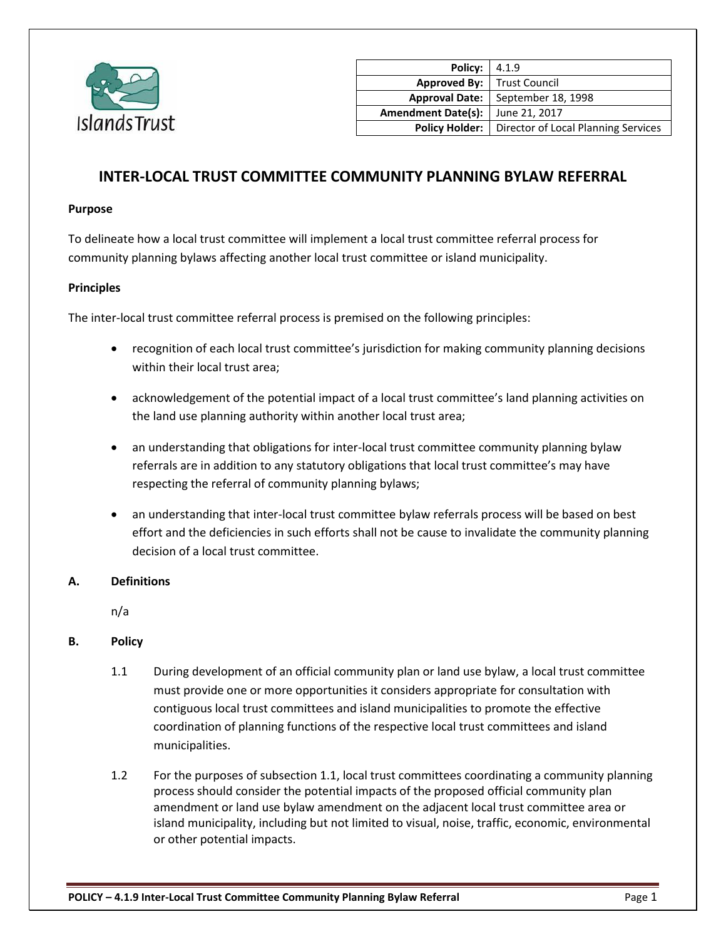

| Policy: $  4.1.9$                   |                                     |
|-------------------------------------|-------------------------------------|
| <b>Approved By:</b>   Trust Council |                                     |
| <b>Approval Date:</b>               | September 18, 1998                  |
| <b>Amendment Date(s):</b>           | June 21, 2017                       |
| <b>Policy Holder:</b>               | Director of Local Planning Services |

# **INTER-LOCAL TRUST COMMITTEE COMMUNITY PLANNING BYLAW REFERRAL**

#### **Purpose**

To delineate how a local trust committee will implement a local trust committee referral process for community planning bylaws affecting another local trust committee or island municipality.

### **Principles**

The inter-local trust committee referral process is premised on the following principles:

- recognition of each local trust committee's jurisdiction for making community planning decisions within their local trust area;
- acknowledgement of the potential impact of a local trust committee's land planning activities on the land use planning authority within another local trust area;
- an understanding that obligations for inter-local trust committee community planning bylaw referrals are in addition to any statutory obligations that local trust committee's may have respecting the referral of community planning bylaws;
- an understanding that inter-local trust committee bylaw referrals process will be based on best effort and the deficiencies in such efforts shall not be cause to invalidate the community planning decision of a local trust committee.

### **A. Definitions**

n/a

### **B. Policy**

- 1.1 During development of an official community plan or land use bylaw, a local trust committee must provide one or more opportunities it considers appropriate for consultation with contiguous local trust committees and island municipalities to promote the effective coordination of planning functions of the respective local trust committees and island municipalities.
- 1.2 For the purposes of subsection 1.1, local trust committees coordinating a community planning process should consider the potential impacts of the proposed official community plan amendment or land use bylaw amendment on the adjacent local trust committee area or island municipality, including but not limited to visual, noise, traffic, economic, environmental or other potential impacts.